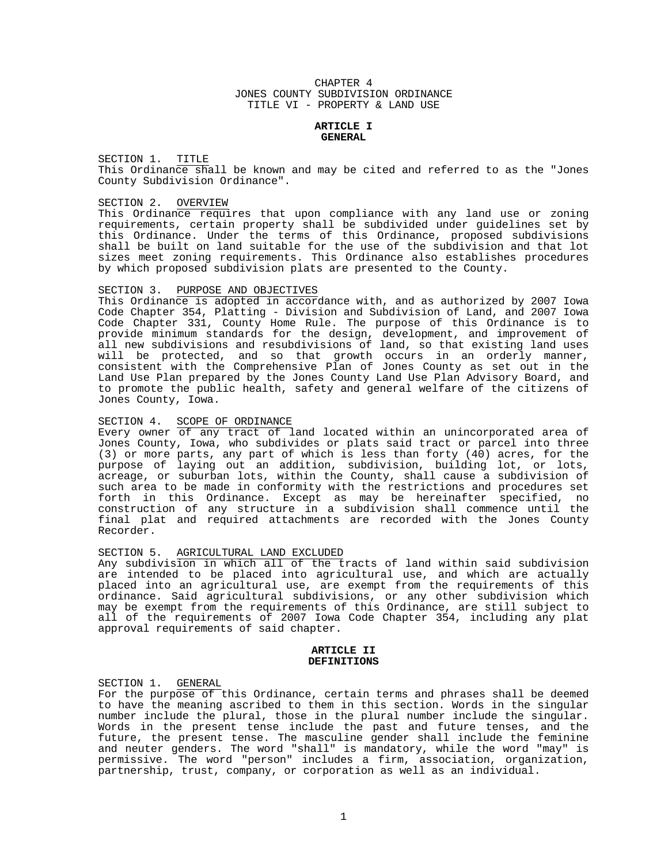### CHAPTER 4 JONES COUNTY SUBDIVISION ORDINANCE TITLE VI - PROPERTY & LAND USE

### **ARTICLE I GENERAL**

SECTION 1. TITLE This Ordinance shall be known and may be cited and referred to as the "Jones County Subdivision Ordinance".

#### SECTION 2. OVERVIEW

This Ordinance requires that upon compliance with any land use or zoning requirements, certain property shall be subdivided under guidelines set by this Ordinance. Under the terms of this Ordinance, proposed subdivisions shall be built on land suitable for the use of the subdivision and that lot sizes meet zoning requirements. This Ordinance also establishes procedures by which proposed subdivision plats are presented to the County.

### SECTION 3. PURPOSE AND OBJECTIVES

This Ordinance is adopted in accordance with, and as authorized by 2007 Iowa Code Chapter 354, Platting - Division and Subdivision of Land, and 2007 Iowa Code Chapter 331, County Home Rule. The purpose of this Ordinance is to provide minimum standards for the design, development, and improvement of all new subdivisions and resubdivisions of land, so that existing land uses will be protected, and so that growth occurs in an orderly manner, consistent with the Comprehensive Plan of Jones County as set out in the Land Use Plan prepared by the Jones County Land Use Plan Advisory Board, and to promote the public health, safety and general welfare of the citizens of Jones County, Iowa.

## SECTION 4. SCOPE OF ORDINANCE

Every owner of any tract of land located within an unincorporated area of Jones County, Iowa, who subdivides or plats said tract or parcel into three (3) or more parts, any part of which is less than forty (40) acres, for the purpose of laying out an addition, subdivision, building lot, or lots, acreage, or suburban lots, within the County, shall cause a subdivision of such area to be made in conformity with the restrictions and procedures set forth in this Ordinance. Except as may be hereinafter specified, no construction of any structure in a subdivision shall commence until the final plat and required attachments are recorded with the Jones County Recorder.

### SECTION 5. AGRICULTURAL LAND EXCLUDED

Any subdivision in which all of the tracts of land within said subdivision are intended to be placed into agricultural use, and which are actually placed into an agricultural use, are exempt from the requirements of this ordinance. Said agricultural subdivisions, or any other subdivision which may be exempt from the requirements of this Ordinance, are still subject to all of the requirements of 2007 Iowa Code Chapter 354, including any plat approval requirements of said chapter.

#### **ARTICLE II DEFINITIONS**

#### SECTION 1. GENERAL

For the purpose of this Ordinance, certain terms and phrases shall be deemed to have the meaning ascribed to them in this section. Words in the singular number include the plural, those in the plural number include the singular. Words in the present tense include the past and future tenses, and the future, the present tense. The masculine gender shall include the feminine and neuter genders. The word "shall" is mandatory, while the word "may" is permissive. The word "person" includes a firm, association, organization, partnership, trust, company, or corporation as well as an individual.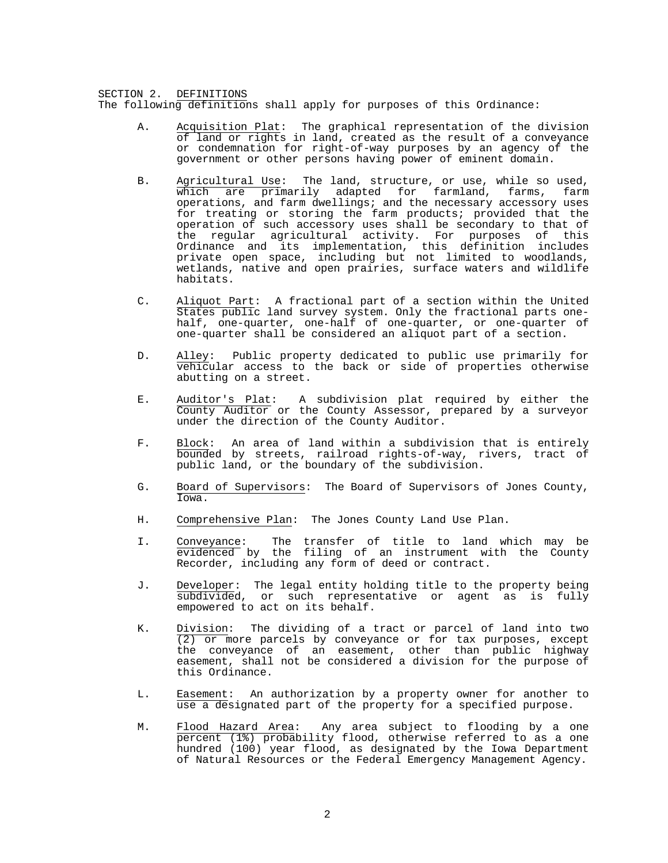#### SECTION 2. DEFINITIONS The following definitions shall apply for purposes of this Ordinance:

- A. Acquisition Plat: The graphical representation of the division of land or rights in land, created as the result of a conveyance or condemnation for right-of-way purposes by an agency of the government or other persons having power of eminent domain.
- B. Agricultural Use: The land, structure, or use, while so used, which are primarily adapted for farmland, farms, farm operations, and farm dwellings; and the necessary accessory uses for treating or storing the farm products; provided that the operation of such accessory uses shall be secondary to that of the regular agricultural activity. For purposes of this Ordinance and its implementation, this definition includes private open space, including but not limited to woodlands, wetlands, native and open prairies, surface waters and wildlife habitats.
- C. Aliquot Part: A fractional part of a section within the United States public land survey system. Only the fractional parts onehalf, one-quarter, one-half of one-quarter, or one-quarter of one-quarter shall be considered an aliquot part of a section.
- D. Alley: Public property dedicated to public use primarily for vehicular access to the back or side of properties otherwise abutting on a street.
- E. Auditor's Plat: A subdivision plat required by either the County Auditor or the County Assessor, prepared by a surveyor under the direction of the County Auditor.
- F. Block: An area of land within a subdivision that is entirely bounded by streets, railroad rights-of-way, rivers, tract of public land, or the boundary of the subdivision.
- G. Board of Supervisors: The Board of Supervisors of Jones County, Iowa.
- H. Comprehensive Plan: The Jones County Land Use Plan.
- I. Conveyance: The transfer of title to land which may be evidenced by the filing of an instrument with the County Recorder, including any form of deed or contract.
- J. Developer: The legal entity holding title to the property being subdivided, or such representative or agent as is fully empowered to act on its behalf.
- K. Division: The dividing of a tract or parcel of land into two  $(2)$  or more parcels by conveyance or for tax purposes, except the conveyance of an easement, other than public highway easement, shall not be considered a division for the purpose of this Ordinance.
- L. Easement: An authorization by a property owner for another to use a designated part of the property for a specified purpose.
- M. Flood Hazard Area: Any area subject to flooding by a one percent (1%) probability flood, otherwise referred to as a one hundred (100) year flood, as designated by the Iowa Department of Natural Resources or the Federal Emergency Management Agency.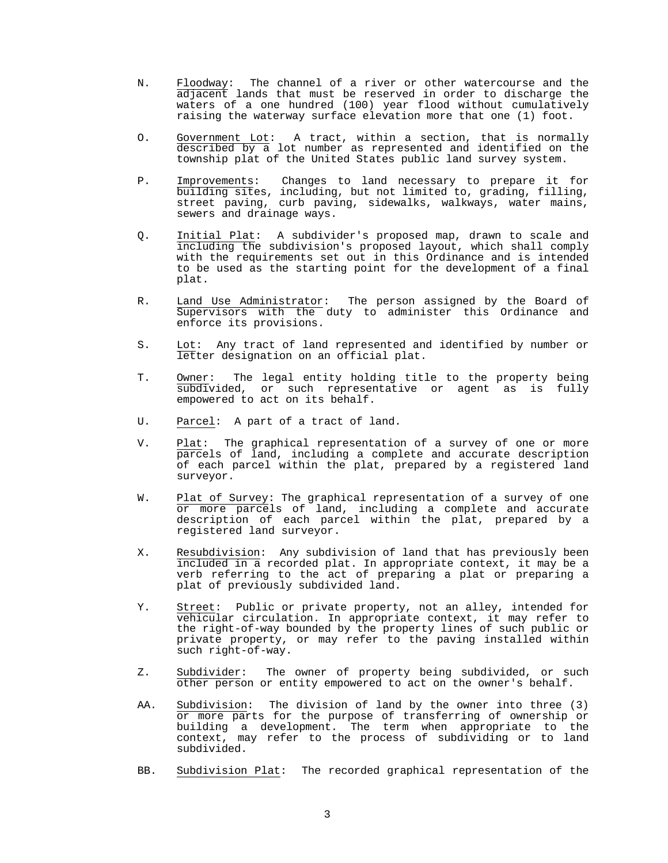- N. Floodway: The channel of a river or other watercourse and the adjacent lands that must be reserved in order to discharge the waters of a one hundred (100) year flood without cumulatively raising the waterway surface elevation more that one (1) foot.
- O. Government Lot: A tract, within a section, that is normally described by a lot number as represented and identified on the township plat of the United States public land survey system.
- P. Improvements: Changes to land necessary to prepare it for building sites, including, but not limited to, grading, filling, street paving, curb paving, sidewalks, walkways, water mains, sewers and drainage ways.
- Q. Initial Plat: A subdivider's proposed map, drawn to scale and including the subdivision's proposed layout, which shall comply with the requirements set out in this Ordinance and is intended to be used as the starting point for the development of a final plat.
- R. Land Use Administrator: The person assigned by the Board of Supervisors with the duty to administer this Ordinance and enforce its provisions.
- S. Lot: Any tract of land represented and identified by number or letter designation on an official plat.
- T. Owner: The legal entity holding title to the property being subdivided, or such representative or agent as is fully empowered to act on its behalf.
- U. Parcel: A part of a tract of land.
- V. Plat: The graphical representation of a survey of one or more parcels of land, including a complete and accurate description of each parcel within the plat, prepared by a registered land surveyor.
- W. Plat of Survey: The graphical representation of a survey of one or more parcels of land, including a complete and accurate description of each parcel within the plat, prepared by a registered land surveyor.
- X. Resubdivision: Any subdivision of land that has previously been included in a recorded plat. In appropriate context, it may be a verb referring to the act of preparing a plat or preparing a plat of previously subdivided land.
- Y. Street: Public or private property, not an alley, intended for vehicular circulation. In appropriate context, it may refer to the right-of-way bounded by the property lines of such public or private property, or may refer to the paving installed within such right-of-way.
- Z. Subdivider: The owner of property being subdivided, or such other person or entity empowered to act on the owner's behalf.
- AA. Subdivision: The division of land by the owner into three (3) or more parts for the purpose of transferring of ownership or building a development. The term when appropriate to the context, may refer to the process of subdividing or to land subdivided.
- BB. Subdivision Plat: The recorded graphical representation of the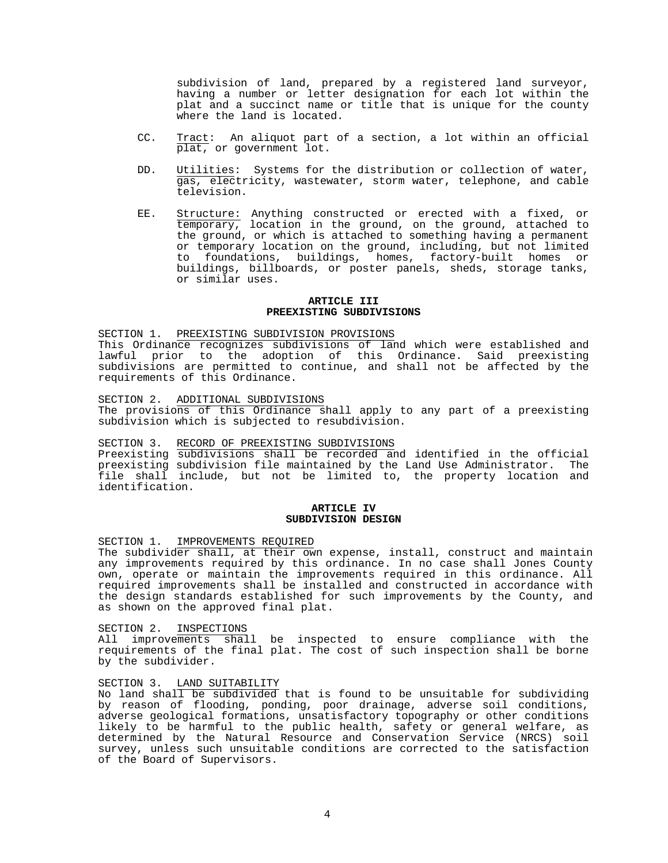subdivision of land, prepared by a registered land surveyor, having a number or letter designation for each lot within the plat and a succinct name or title that is unique for the county where the land is located.

- CC. Tract: An aliquot part of a section, a lot within an official plat, or government lot.
- DD. Utilities: Systems for the distribution or collection of water, gas, electricity, wastewater, storm water, telephone, and cable television.
- EE. Structure: Anything constructed or erected with a fixed, or temporary, location in the ground, on the ground, attached to the ground, or which is attached to something having a permanent or temporary location on the ground, including, but not limited to foundations, buildings, homes, factory-built homes or buildings, billboards, or poster panels, sheds, storage tanks, or similar uses.

#### **ARTICLE III PREEXISTING SUBDIVISIONS**

SECTION 1. PREEXISTING SUBDIVISION PROVISIONS

This Ordinance recognizes subdivisions of land which were established and lawful prior to the adoption of this Ordinance. Said preexisting subdivisions are permitted to continue, and shall not be affected by the requirements of this Ordinance.

SECTION 2. ADDITIONAL SUBDIVISIONS The provisions of this Ordinance shall apply to any part of a preexisting subdivision which is subjected to resubdivision.

SECTION 3. RECORD OF PREEXISTING SUBDIVISIONS Preexisting subdivisions shall be recorded and identified in the official preexisting subdivision file maintained by the Land Use Administrator. The file shall include, but not be limited to, the property location and identification.

## **ARTICLE IV SUBDIVISION DESIGN**

SECTION 1. IMPROVEMENTS REQUIRED

The subdivider shall, at their own expense, install, construct and maintain any improvements required by this ordinance. In no case shall Jones County own, operate or maintain the improvements required in this ordinance. All required improvements shall be installed and constructed in accordance with the design standards established for such improvements by the County, and as shown on the approved final plat.

SECTION 2. INSPECTIONS

All improvements shall be inspected to ensure compliance with the requirements of the final plat. The cost of such inspection shall be borne by the subdivider.

## SECTION 3. LAND SUITABILITY

No land shall be subdivided that is found to be unsuitable for subdividing by reason of flooding, ponding, poor drainage, adverse soil conditions, adverse geological formations, unsatisfactory topography or other conditions likely to be harmful to the public health, safety or general welfare, as determined by the Natural Resource and Conservation Service (NRCS) soil survey, unless such unsuitable conditions are corrected to the satisfaction of the Board of Supervisors.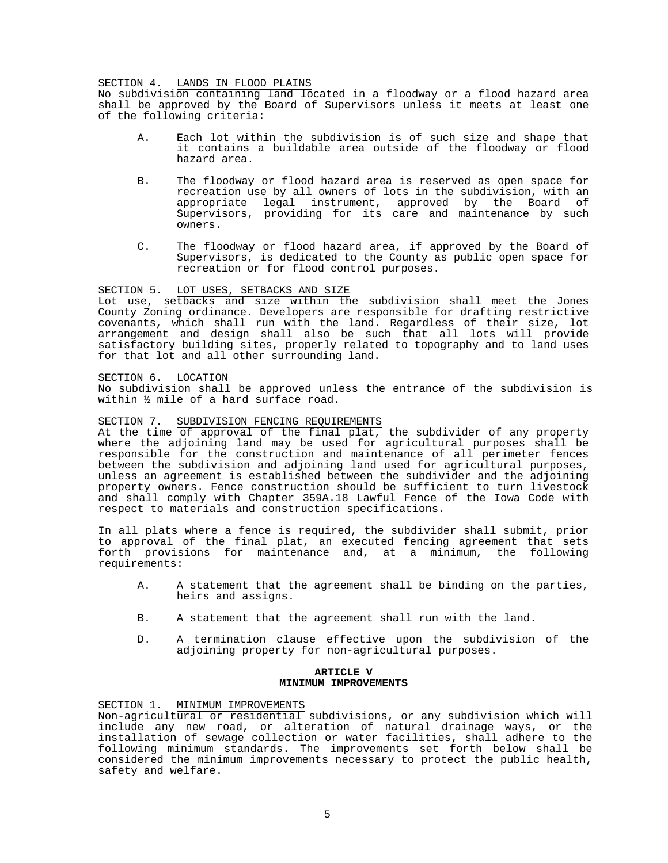#### SECTION 4. LANDS IN FLOOD PLAINS

No subdivision containing land located in a floodway or a flood hazard area shall be approved by the Board of Supervisors unless it meets at least one of the following criteria:

- A. Each lot within the subdivision is of such size and shape that it contains a buildable area outside of the floodway or flood hazard area.
- B. The floodway or flood hazard area is reserved as open space for recreation use by all owners of lots in the subdivision, with an appropriate legal instrument, approved by the Board of Supervisors, providing for its care and maintenance by such owners.
- C. The floodway or flood hazard area, if approved by the Board of Supervisors, is dedicated to the County as public open space for recreation or for flood control purposes.

## SECTION 5. LOT USES, SETBACKS AND SIZE

Lot use, setbacks and size within the subdivision shall meet the Jones County Zoning ordinance. Developers are responsible for drafting restrictive covenants, which shall run with the land. Regardless of their size, lot arrangement and design shall also be such that all lots will provide satisfactory building sites, properly related to topography and to land uses for that lot and all other surrounding land.

## SECTION 6. LOCATION

No subdivision shall be approved unless the entrance of the subdivision is within ½ mile of a hard surface road.

## SECTION 7. SUBDIVISION FENCING REQUIREMENTS

At the time of approval of the final plat, the subdivider of any property where the adjoining land may be used for agricultural purposes shall be responsible for the construction and maintenance of all perimeter fences between the subdivision and adjoining land used for agricultural purposes, unless an agreement is established between the subdivider and the adjoining property owners. Fence construction should be sufficient to turn livestock and shall comply with Chapter 359A.18 Lawful Fence of the Iowa Code with respect to materials and construction specifications.

In all plats where a fence is required, the subdivider shall submit, prior to approval of the final plat, an executed fencing agreement that sets<br>forth provisions for maintenance and, at a minimum, the following forth provisions for maintenance and, at a minimum, requirements:

- A. A statement that the agreement shall be binding on the parties, heirs and assigns.
- B. A statement that the agreement shall run with the land.
- D. A termination clause effective upon the subdivision of the adjoining property for non-agricultural purposes.

#### **ARTICLE V MINIMUM IMPROVEMENTS**

SECTION 1. MINIMUM IMPROVEMENTS

Non-agricultural or residential subdivisions, or any subdivision which will include any new road, or alteration of natural drainage ways, or the installation of sewage collection or water facilities, shall adhere to the following minimum standards. The improvements set forth below shall be considered the minimum improvements necessary to protect the public health, safety and welfare.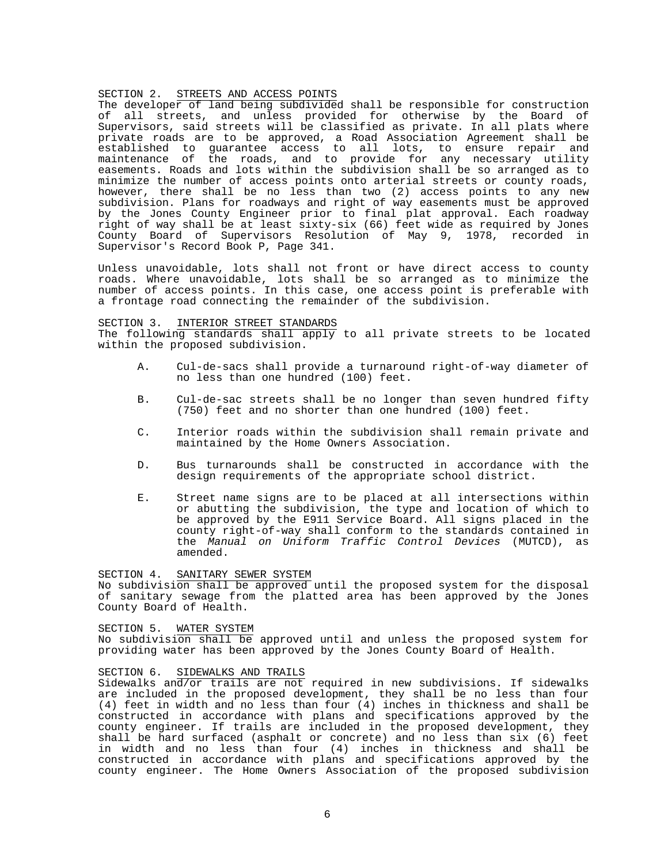#### SECTION 2. STREETS AND ACCESS POINTS

The developer of land being subdivided shall be responsible for construction of all streets, and unless provided for otherwise by the Board of Supervisors, said streets will be classified as private. In all plats where private roads are to be approved, a Road Association Agreement shall be established to guarantee access to all lots, to ensure repair and maintenance of the roads, and to provide for any necessary utility easements. Roads and lots within the subdivision shall be so arranged as to minimize the number of access points onto arterial streets or county roads, however, there shall be no less than two (2) access points to any new subdivision. Plans for roadways and right of way easements must be approved by the Jones County Engineer prior to final plat approval. Each roadway right of way shall be at least sixty-six (66) feet wide as required by Jones County Board of Supervisors Resolution of May 9, 1978, recorded in Supervisor's Record Book P, Page 341.

Unless unavoidable, lots shall not front or have direct access to county roads. Where unavoidable, lots shall be so arranged as to minimize the number of access points. In this case, one access point is preferable with a frontage road connecting the remainder of the subdivision.

#### SECTION 3. INTERIOR STREET STANDARDS

The following standards shall apply to all private streets to be located within the proposed subdivision.

- A. Cul-de-sacs shall provide a turnaround right-of-way diameter of no less than one hundred (100) feet.
- B. Cul-de-sac streets shall be no longer than seven hundred fifty (750) feet and no shorter than one hundred (100) feet.
- C. Interior roads within the subdivision shall remain private and maintained by the Home Owners Association.
- D. Bus turnarounds shall be constructed in accordance with the design requirements of the appropriate school district.
- E. Street name signs are to be placed at all intersections within or abutting the subdivision, the type and location of which to be approved by the E911 Service Board. All signs placed in the county right-of-way shall conform to the standards contained in the *Manual on Uniform Traffic Control Devices* (MUTCD), as amended.

#### SECTION 4. SANITARY SEWER SYSTEM

No subdivision shall be approved until the proposed system for the disposal of sanitary sewage from the platted area has been approved by the Jones County Board of Health.

#### SECTION 5. WATER SYSTEM

No subdivision shall be approved until and unless the proposed system for providing water has been approved by the Jones County Board of Health.

### SECTION 6. SIDEWALKS AND TRAILS

Sidewalks and/or trails are not required in new subdivisions. If sidewalks are included in the proposed development, they shall be no less than four (4) feet in width and no less than four (4) inches in thickness and shall be constructed in accordance with plans and specifications approved by the county engineer. If trails are included in the proposed development, they shall be hard surfaced (asphalt or concrete) and no less than six (6) feet in width and no less than four (4) inches in thickness and shall be constructed in accordance with plans and specifications approved by the county engineer. The Home Owners Association of the proposed subdivision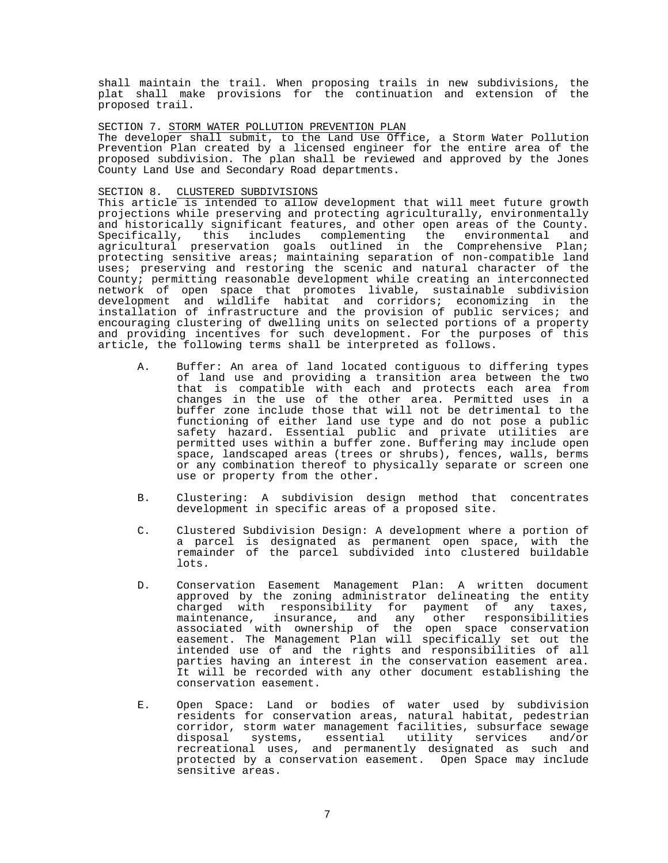shall maintain the trail. When proposing trails in new subdivisions, the plat shall make provisions for the continuation and extension of the proposed trail.

### SECTION 7. STORM WATER POLLUTION PREVENTION PLAN

The developer shall submit, to the Land Use Office, a Storm Water Pollution Prevention Plan created by a licensed engineer for the entire area of the proposed subdivision. The plan shall be reviewed and approved by the Jones County Land Use and Secondary Road departments.

### SECTION 8. CLUSTERED SUBDIVISIONS

This article is intended to allow development that will meet future growth projections while preserving and protecting agriculturally, environmentally and historically significant features, and other open areas of the County. Specifically, this includes complementing the environmental and agricultural preservation goals outlined in the Comprehensive Plan; protecting sensitive areas; maintaining separation of non-compatible land uses; preserving and restoring the scenic and natural character of the County; permitting reasonable development while creating an interconnected network of open space that promotes livable, sustainable subdivision development and wildlife habitat and corridors; economizing in the installation of infrastructure and the provision of public services; and encouraging clustering of dwelling units on selected portions of a property and providing incentives for such development. For the purposes of this article, the following terms shall be interpreted as follows.

- A. Buffer: An area of land located contiguous to differing types of land use and providing a transition area between the two that is compatible with each and protects each area from changes in the use of the other area. Permitted uses in a buffer zone include those that will not be detrimental to the functioning of either land use type and do not pose a public safety hazard. Essential public and private utilities are permitted uses within a buffer zone. Buffering may include open space, landscaped areas (trees or shrubs), fences, walls, berms or any combination thereof to physically separate or screen one use or property from the other.
- B. Clustering: A subdivision design method that concentrates development in specific areas of a proposed site.
- C. Clustered Subdivision Design: A development where a portion of a parcel is designated as permanent open space, with the remainder of the parcel subdivided into clustered buildable lots.
- D. Conservation Easement Management Plan: A written document approved by the zoning administrator delineating the entity charged with responsibility for payment of any taxes, maintenance, insurance, and any other responsibilities associated with ownership of the open space conservation easement. The Management Plan will specifically set out the intended use of and the rights and responsibilities of all parties having an interest in the conservation easement area. It will be recorded with any other document establishing the conservation easement.
- E. Open Space: Land or bodies of water used by subdivision residents for conservation areas, natural habitat, pedestrian corridor, storm water management facilities, subsurface sewage disposal systems, essential utility services and/or recreational uses, and permanently designated as such and protected by a conservation easement. Open Space may include sensitive areas.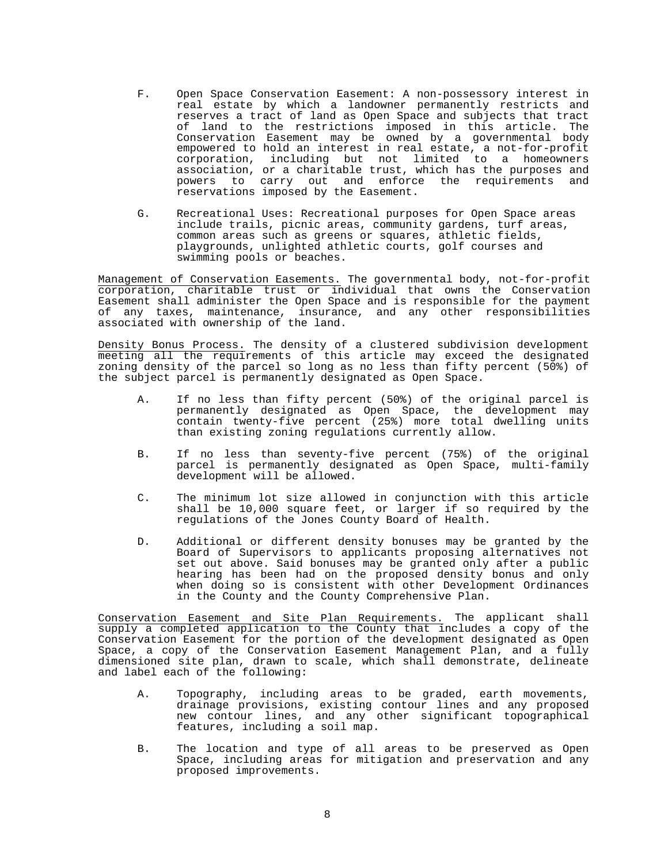- F. Open Space Conservation Easement: A non-possessory interest in real estate by which a landowner permanently restricts and reserves a tract of land as Open Space and subjects that tract of land to the restrictions imposed in this article. The Conservation Easement may be owned by a governmental body empowered to hold an interest in real estate, a not-for-profit corporation, including but not limited to a homeowners association, or a charitable trust, which has the purposes and powers to carry out and enforce the requirements and reservations imposed by the Easement.
- G. Recreational Uses: Recreational purposes for Open Space areas include trails, picnic areas, community gardens, turf areas, common areas such as greens or squares, athletic fields, playgrounds, unlighted athletic courts, golf courses and swimming pools or beaches.

Management of Conservation Easements. The governmental body, not-for-profit corporation, charitable trust or individual that owns the Conservation Easement shall administer the Open Space and is responsible for the payment of any taxes, maintenance, insurance, and any other responsibilities associated with ownership of the land.

Density Bonus Process. The density of a clustered subdivision development meeting all the requirements of this article may exceed the designated zoning density of the parcel so long as no less than fifty percent (50%) of the subject parcel is permanently designated as Open Space.

- A. If no less than fifty percent (50%) of the original parcel is permanently designated as Open Space, the development may contain twenty-five percent (25%) more total dwelling units than existing zoning regulations currently allow.
- B. If no less than seventy-five percent (75%) of the original parcel is permanently designated as Open Space, multi-family development will be allowed.
	- C. The minimum lot size allowed in conjunction with this article shall be 10,000 square feet, or larger if so required by the regulations of the Jones County Board of Health.
	- D. Additional or different density bonuses may be granted by the Board of Supervisors to applicants proposing alternatives not set out above. Said bonuses may be granted only after a public hearing has been had on the proposed density bonus and only when doing so is consistent with other Development Ordinances in the County and the County Comprehensive Plan.

Conservation Easement and Site Plan Requirements. The applicant shall supply a completed application to the County that includes a copy of the Conservation Easement for the portion of the development designated as Open Space, a copy of the Conservation Easement Management Plan, and a fully dimensioned site plan, drawn to scale, which shall demonstrate, delineate and label each of the following:

- A. Topography, including areas to be graded, earth movements, drainage provisions, existing contour lines and any proposed new contour lines, and any other significant topographical features, including a soil map.
- B. The location and type of all areas to be preserved as Open Space, including areas for mitigation and preservation and any proposed improvements.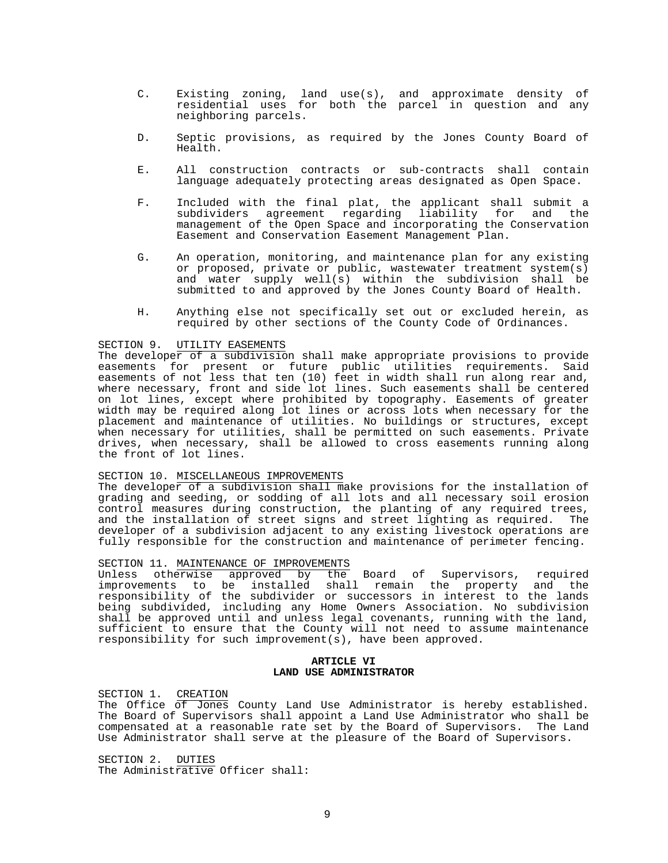- C. Existing zoning, land use(s), and approximate density of residential uses for both the parcel in question and any neighboring parcels.
	- D. Septic provisions, as required by the Jones County Board of Health.
	- E. All construction contracts or sub-contracts shall contain language adequately protecting areas designated as Open Space.
	- F. Included with the final plat, the applicant shall submit a subdividers agreement regarding liability for and the management of the Open Space and incorporating the Conservation Easement and Conservation Easement Management Plan.
	- G. An operation, monitoring, and maintenance plan for any existing or proposed, private or public, wastewater treatment system(s) and water supply well(s) within the subdivision shall be submitted to and approved by the Jones County Board of Health.
	- H. Anything else not specifically set out or excluded herein, as required by other sections of the County Code of Ordinances.

#### SECTION 9. UTILITY EASEMENTS

The developer of a subdivision shall make appropriate provisions to provide easements for present or future public utilities requirements. Said easements of not less that ten (10) feet in width shall run along rear and, where necessary, front and side lot lines. Such easements shall be centered on lot lines, except where prohibited by topography. Easements of greater width may be required along lot lines or across lots when necessary for the placement and maintenance of utilities. No buildings or structures, except when necessary for utilities, shall be permitted on such easements. Private drives, when necessary, shall be allowed to cross easements running along the front of lot lines.

# SECTION 10. MISCELLANEOUS IMPROVEMENTS

The developer of a subdivision shall make provisions for the installation of grading and seeding, or sodding of all lots and all necessary soil erosion control measures during construction, the planting of any required trees,<br>and the installation of street signs and street lighting as required. The and the installation of street signs and street lighting as required. developer of a subdivision adjacent to any existing livestock operations are fully responsible for the construction and maintenance of perimeter fencing.

#### SECTION 11. MAINTENANCE OF IMPROVEMENTS

Unless otherwise approved by the Board of Supervisors, required improvements to be installed shall remain the property and the responsibility of the subdivider or successors in interest to the lands being subdivided, including any Home Owners Association. No subdivision shall be approved until and unless legal covenants, running with the land, sufficient to ensure that the County will not need to assume maintenance responsibility for such improvement(s), have been approved.

#### **ARTICLE VI LAND USE ADMINISTRATOR**

SECTION 1. CREATION

The Office of Jones County Land Use Administrator is hereby established. The Board of Supervisors shall appoint a Land Use Administrator who shall be compensated at a reasonable rate set by the Board of Supervisors. The Land Use Administrator shall serve at the pleasure of the Board of Supervisors.

SECTION 2. DUTIES The Administrative Officer shall: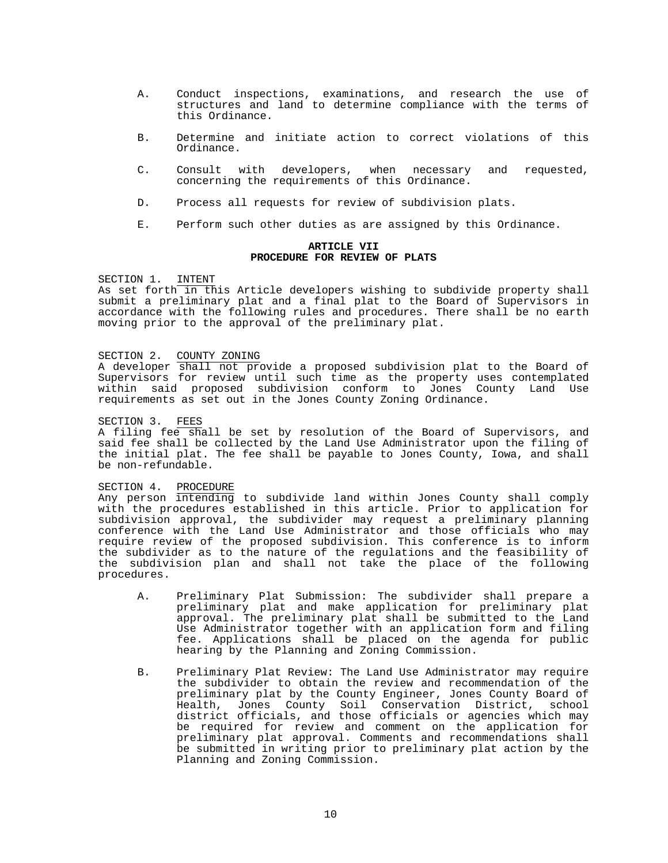- A. Conduct inspections, examinations, and research the use of structures and land to determine compliance with the terms of this Ordinance.
- B. Determine and initiate action to correct violations of this Ordinance.
- C. Consult with developers, when necessary and requested, concerning the requirements of this Ordinance.
- D. Process all requests for review of subdivision plats.
- E. Perform such other duties as are assigned by this Ordinance.

#### **ARTICLE VII PROCEDURE FOR REVIEW OF PLATS**

#### SECTION 1. INTENT

As set forth in this Article developers wishing to subdivide property shall submit a preliminary plat and a final plat to the Board of Supervisors in accordance with the following rules and procedures. There shall be no earth moving prior to the approval of the preliminary plat.

#### SECTION 2. COUNTY ZONING

A developer shall not provide a proposed subdivision plat to the Board of Supervisors for review until such time as the property uses contemplated within said proposed subdivision conform to Jones County Land Use requirements as set out in the Jones County Zoning Ordinance.

## SECTION 3. FEES

A filing fee shall be set by resolution of the Board of Supervisors, and said fee shall be collected by the Land Use Administrator upon the filing of the initial plat. The fee shall be payable to Jones County, Iowa, and shall be non-refundable.

## SECTION 4. PROCEDURE

Any person intending to subdivide land within Jones County shall comply with the procedures established in this article. Prior to application for subdivision approval, the subdivider may request a preliminary planning conference with the Land Use Administrator and those officials who may require review of the proposed subdivision. This conference is to inform the subdivider as to the nature of the regulations and the feasibility of the subdivision plan and shall not take the place of the following procedures.

- A. Preliminary Plat Submission: The subdivider shall prepare a preliminary plat and make application for preliminary plat approval. The preliminary plat shall be submitted to the Land Use Administrator together with an application form and filing fee. Applications shall be placed on the agenda for public hearing by the Planning and Zoning Commission.
- B. Preliminary Plat Review: The Land Use Administrator may require the subdivider to obtain the review and recommendation of the preliminary plat by the County Engineer, Jones County Board of Health, Jones County Soil Conservation District, school district officials, and those officials or agencies which may be required for review and comment on the application for preliminary plat approval. Comments and recommendations shall be submitted in writing prior to preliminary plat action by the Planning and Zoning Commission.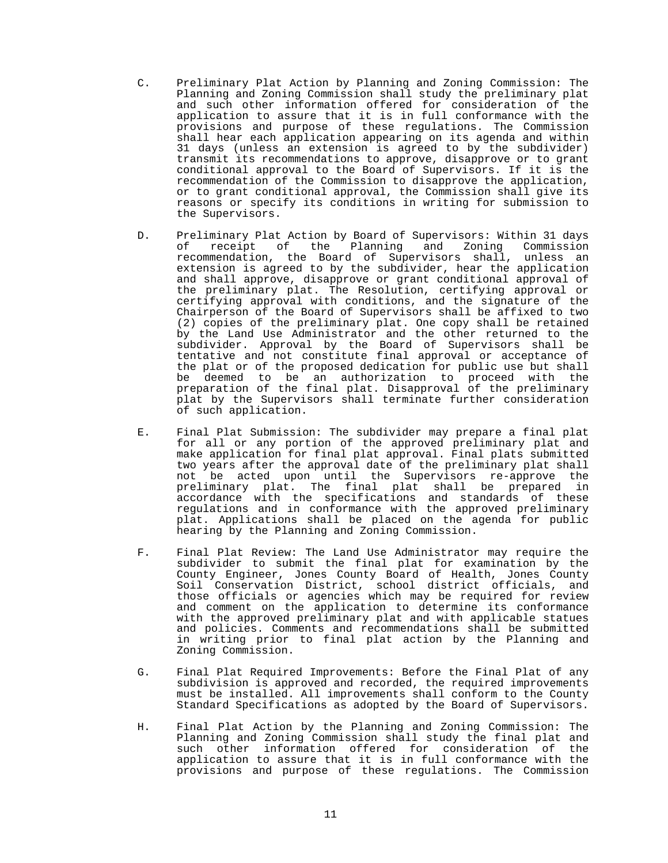- C. Preliminary Plat Action by Planning and Zoning Commission: The Planning and Zoning Commission shall study the preliminary plat and such other information offered for consideration of the application to assure that it is in full conformance with the provisions and purpose of these regulations. The Commission shall hear each application appearing on its agenda and within 31 days (unless an extension is agreed to by the subdivider) transmit its recommendations to approve, disapprove or to grant conditional approval to the Board of Supervisors. If it is the recommendation of the Commission to disapprove the application, or to grant conditional approval, the Commission shall give its reasons or specify its conditions in writing for submission to the Supervisors.
- D. Preliminary Plat Action by Board of Supervisors: Within 31 days of receipt of the Planning and Zoning Commission recommendation, the Board of Supervisors shall, unless an extension is agreed to by the subdivider, hear the application and shall approve, disapprove or grant conditional approval of the preliminary plat. The Resolution, certifying approval or certifying approval with conditions, and the signature of the Chairperson of the Board of Supervisors shall be affixed to two (2) copies of the preliminary plat. One copy shall be retained by the Land Use Administrator and the other returned to the subdivider. Approval by the Board of Supervisors shall be tentative and not constitute final approval or acceptance of the plat or of the proposed dedication for public use but shall be deemed to be an authorization to proceed with the preparation of the final plat. Disapproval of the preliminary plat by the Supervisors shall terminate further consideration of such application.
- E. Final Plat Submission: The subdivider may prepare a final plat for all or any portion of the approved preliminary plat and make application for final plat approval. Final plats submitted two years after the approval date of the preliminary plat shall not be acted upon until the Supervisors re-approve the preliminary plat. The final plat shall be prepared in accordance with the specifications and standards of these regulations and in conformance with the approved preliminary plat. Applications shall be placed on the agenda for public hearing by the Planning and Zoning Commission.
- F. Final Plat Review: The Land Use Administrator may require the subdivider to submit the final plat for examination by the County Engineer, Jones County Board of Health, Jones County Soil Conservation District, school district officials, and those officials or agencies which may be required for review and comment on the application to determine its conformance with the approved preliminary plat and with applicable statues and policies. Comments and recommendations shall be submitted in writing prior to final plat action by the Planning and Zoning Commission.
- G. Final Plat Required Improvements: Before the Final Plat of any subdivision is approved and recorded, the required improvements must be installed. All improvements shall conform to the County Standard Specifications as adopted by the Board of Supervisors.
- H. Final Plat Action by the Planning and Zoning Commission: The Planning and Zoning Commission shall study the final plat and such other information offered for consideration of the application to assure that it is in full conformance with the provisions and purpose of these regulations. The Commission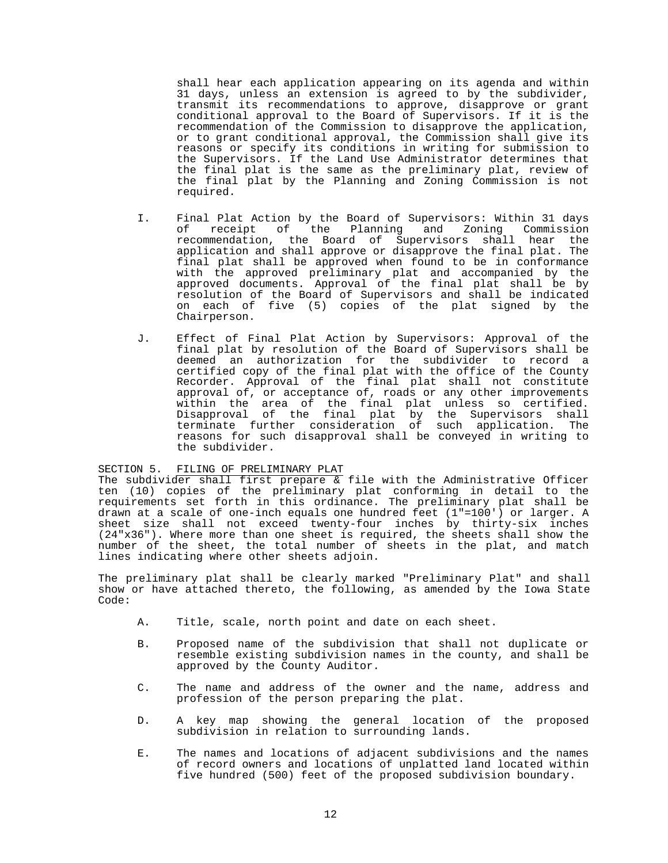shall hear each application appearing on its agenda and within 31 days, unless an extension is agreed to by the subdivider, transmit its recommendations to approve, disapprove or grant conditional approval to the Board of Supervisors. If it is the recommendation of the Commission to disapprove the application, or to grant conditional approval, the Commission shall give its reasons or specify its conditions in writing for submission to the Supervisors. If the Land Use Administrator determines that the final plat is the same as the preliminary plat, review of the final plat by the Planning and Zoning Commission is not required.

- I. Final Plat Action by the Board of Supervisors: Within 31 days of receipt of the Planning and Zoning Commission recommendation, the Board of Supervisors shall hear the application and shall approve or disapprove the final plat. The final plat shall be approved when found to be in conformance with the approved preliminary plat and accompanied by the approved documents. Approval of the final plat shall be by resolution of the Board of Supervisors and shall be indicated on each of five (5) copies of the plat signed by the Chairperson.
- J. Effect of Final Plat Action by Supervisors: Approval of the final plat by resolution of the Board of Supervisors shall be deemed an authorization for the subdivider to record a certified copy of the final plat with the office of the County Recorder. Approval of the final plat shall not constitute approval of, or acceptance of, roads or any other improvements within the area of the final plat unless so certified. Disapproval of the final plat by the Supervisors shall terminate further consideration of such application. The reasons for such disapproval shall be conveyed in writing to the subdivider.

## SECTION 5. FILING OF PRELIMINARY PLAT

The subdivider shall first prepare  $\overline{x}$  file with the Administrative Officer ten (10) copies of the preliminary plat conforming in detail to the requirements set forth in this ordinance. The preliminary plat shall be drawn at a scale of one-inch equals one hundred feet (1"=100') or larger. A sheet size shall not exceed twenty-four inches by thirty-six inches (24"x36"). Where more than one sheet is required, the sheets shall show the number of the sheet, the total number of sheets in the plat, and match lines indicating where other sheets adjoin.

The preliminary plat shall be clearly marked "Preliminary Plat" and shall show or have attached thereto, the following, as amended by the Iowa State Code:

- A. Title, scale, north point and date on each sheet.
- B. Proposed name of the subdivision that shall not duplicate or resemble existing subdivision names in the county, and shall be approved by the County Auditor.
- C. The name and address of the owner and the name, address and profession of the person preparing the plat.
- D. A key map showing the general location of the proposed subdivision in relation to surrounding lands.
- E. The names and locations of adjacent subdivisions and the names of record owners and locations of unplatted land located within five hundred (500) feet of the proposed subdivision boundary.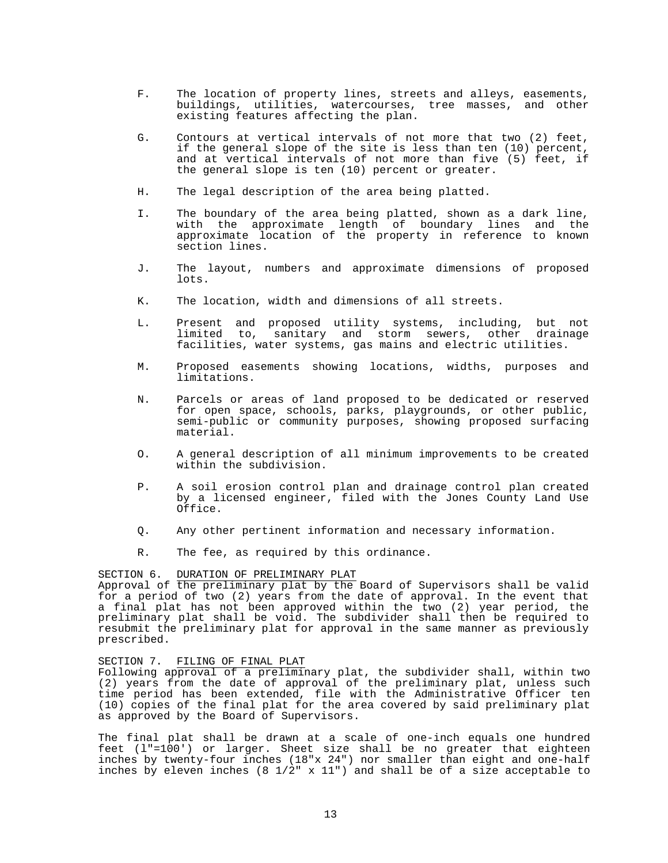- F. The location of property lines, streets and alleys, easements, buildings, utilities, watercourses, tree masses, and other existing features affecting the plan.
- G. Contours at vertical intervals of not more that two (2) feet, if the general slope of the site is less than ten (10) percent, and at vertical intervals of not more than five (5) feet, if the general slope is ten (10) percent or greater.
- H. The legal description of the area being platted.
- I. The boundary of the area being platted, shown as a dark line, with the approximate length of boundary lines and the approximate location of the property in reference to known section lines.
- J. The layout, numbers and approximate dimensions of proposed lots.
- K. The location, width and dimensions of all streets.
- L. Present and proposed utility systems, including, but not limited to, sanitary and storm sewers, other drainage facilities, water systems, gas mains and electric utilities.
	- M. Proposed easements showing locations, widths, purposes and limitations.
	- N. Parcels or areas of land proposed to be dedicated or reserved for open space, schools, parks, playgrounds, or other public, semi-public or community purposes, showing proposed surfacing material.
	- O. A general description of all minimum improvements to be created within the subdivision.
	- P. A soil erosion control plan and drainage control plan created by a licensed engineer, filed with the Jones County Land Use Office.
	- Q. Any other pertinent information and necessary information.
	- R. The fee, as required by this ordinance.

#### SECTION 6. DURATION OF PRELIMINARY PLAT

Approval of the preliminary plat by the Board of Supervisors shall be valid for a period of two (2) years from the date of approval. In the event that a final plat has not been approved within the two (2) year period, the preliminary plat shall be void. The subdivider shall then be required to resubmit the preliminary plat for approval in the same manner as previously prescribed.

## SECTION 7. FILING OF FINAL PLAT

Following approval of a preliminary plat, the subdivider shall, within two (2) years from the date of approval of the preliminary plat, unless such time period has been extended, file with the Administrative Officer ten (10) copies of the final plat for the area covered by said preliminary plat as approved by the Board of Supervisors.

The final plat shall be drawn at a scale of one-inch equals one hundred feet (l"=100') or larger. Sheet size shall be no greater that eighteen inches by twenty-four inches (18"x 24") nor smaller than eight and one-half inches by eleven inches (8 1/2" x 11") and shall be of a size acceptable to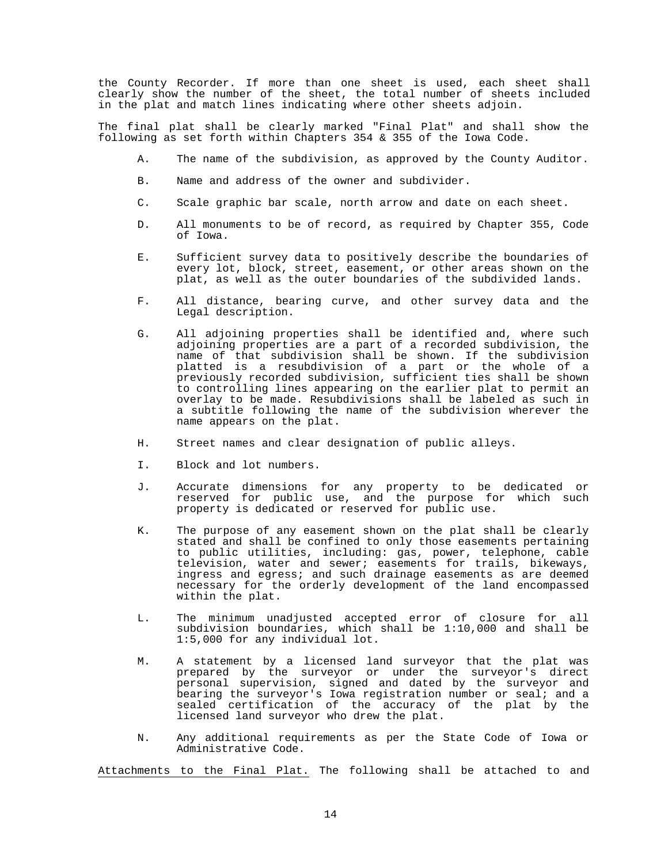the County Recorder. If more than one sheet is used, each sheet shall clearly show the number of the sheet, the total number of sheets included in the plat and match lines indicating where other sheets adjoin.

The final plat shall be clearly marked "Final Plat" and shall show the following as set forth within Chapters 354 & 355 of the Iowa Code.

- A. The name of the subdivision, as approved by the County Auditor.
- B. Name and address of the owner and subdivider.
- C. Scale graphic bar scale, north arrow and date on each sheet.
- D. All monuments to be of record, as required by Chapter 355, Code of Iowa.
- E. Sufficient survey data to positively describe the boundaries of every lot, block, street, easement, or other areas shown on the plat, as well as the outer boundaries of the subdivided lands.
- F. All distance, bearing curve, and other survey data and the Legal description.
- G. All adjoining properties shall be identified and, where such adjoining properties are a part of a recorded subdivision, the name of that subdivision shall be shown. If the subdivision platted is a resubdivision of a part or the whole of a previously recorded subdivision, sufficient ties shall be shown to controlling lines appearing on the earlier plat to permit an overlay to be made. Resubdivisions shall be labeled as such in a subtitle following the name of the subdivision wherever the name appears on the plat.
	- H. Street names and clear designation of public alleys.
	- I. Block and lot numbers.
- J. Accurate dimensions for any property to be dedicated or reserved for public use, and the purpose for which such property is dedicated or reserved for public use.
	- K. The purpose of any easement shown on the plat shall be clearly stated and shall be confined to only those easements pertaining to public utilities, including: gas, power, telephone, cable television, water and sewer; easements for trails, bikeways, ingress and egress; and such drainage easements as are deemed necessary for the orderly development of the land encompassed within the plat.
	- L. The minimum unadjusted accepted error of closure for all subdivision boundaries, which shall be 1:10,000 and shall be 1:5,000 for any individual lot.
- M. A statement by a licensed land surveyor that the plat was prepared by the surveyor or under the surveyor's direct personal supervision, signed and dated by the surveyor and bearing the surveyor's Iowa registration number or seal; and a sealed certification of the accuracy of the plat by the licensed land surveyor who drew the plat.
	- N. Any additional requirements as per the State Code of Iowa or Administrative Code.

Attachments to the Final Plat. The following shall be attached to and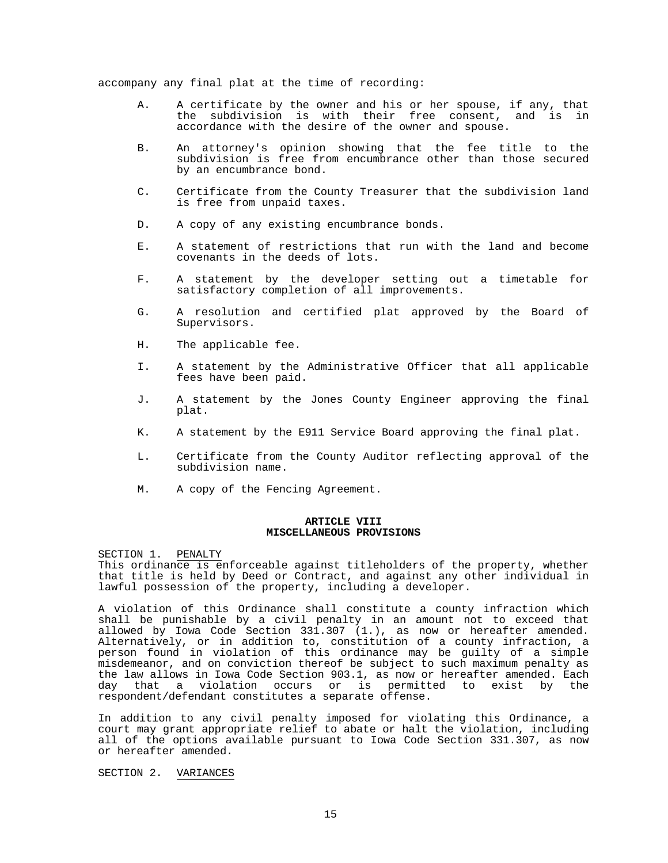accompany any final plat at the time of recording:

- A. A certificate by the owner and his or her spouse, if any, that<br>the subdivision is with their free consent, and is in the subdivision is with their free consent, and is in accordance with the desire of the owner and spouse.
- B. An attorney's opinion showing that the fee title to the subdivision is free from encumbrance other than those secured by an encumbrance bond.
	- C. Certificate from the County Treasurer that the subdivision land is free from unpaid taxes.
	- D. A copy of any existing encumbrance bonds.
	- E. A statement of restrictions that run with the land and become covenants in the deeds of lots.
	- F. A statement by the developer setting out a timetable for satisfactory completion of all improvements.
	- G. A resolution and certified plat approved by the Board of Supervisors.
	- H. The applicable fee.
	- I. A statement by the Administrative Officer that all applicable fees have been paid.
	- J. A statement by the Jones County Engineer approving the final plat.
	- K. A statement by the E911 Service Board approving the final plat.
	- L. Certificate from the County Auditor reflecting approval of the subdivision name.
	- M. A copy of the Fencing Agreement.

## **ARTICLE VIII MISCELLANEOUS PROVISIONS**

SECTION 1. PENALTY<br>This ordinance is enforceable against titleholders of the property, whether that title is held by Deed or Contract, and against any other individual in lawful possession of the property, including a developer.

A violation of this Ordinance shall constitute a county infraction which shall be punishable by a civil penalty in an amount not to exceed that allowed by Iowa Code Section 331.307 (1.), as now or hereafter amended. Alternatively, or in addition to, constitution of a county infraction, a person found in violation of this ordinance may be guilty of a simple misdemeanor, and on conviction thereof be subject to such maximum penalty as the law allows in Iowa Code Section 903.1, as now or hereafter amended. Each<br>day that a violation occurs or is permitted to exist by the that a violation occurs or is permitted to exist by the respondent/defendant constitutes a separate offense.

In addition to any civil penalty imposed for violating this Ordinance, a court may grant appropriate relief to abate or halt the violation, including all of the options available pursuant to Iowa Code Section 331.307, as now or hereafter amended.

#### SECTION 2. VARIANCES